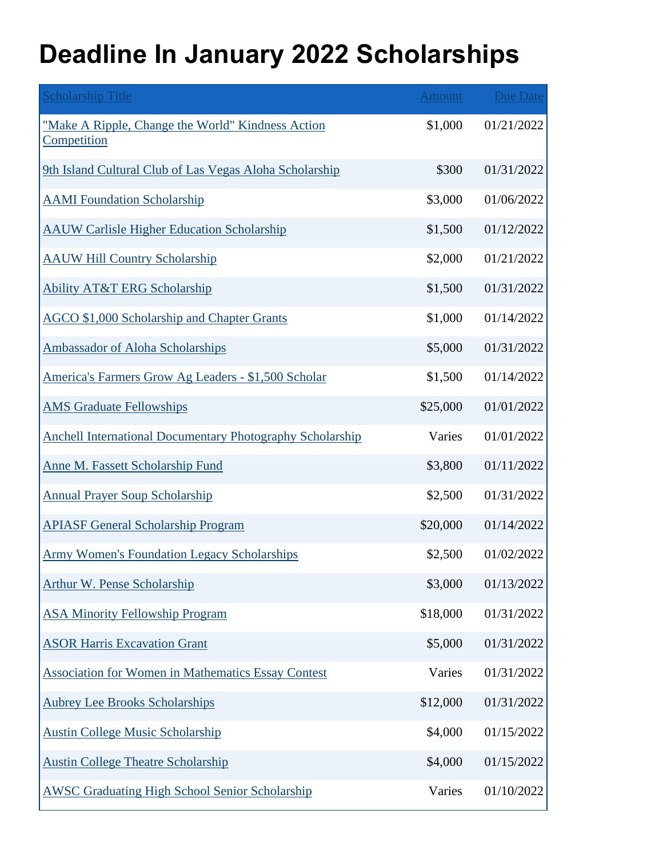## **Deadline In January 2022 Scholarships**

| <b>Scholarship Title</b>                                         | <b>Amount</b> | <b>Due Date</b> |
|------------------------------------------------------------------|---------------|-----------------|
| "Make A Ripple, Change the World" Kindness Action<br>Competition | \$1,000       | 01/21/2022      |
| 9th Island Cultural Club of Las Vegas Aloha Scholarship          | \$300         | 01/31/2022      |
| <b>AAMI</b> Foundation Scholarship                               | \$3,000       | 01/06/2022      |
| <b>AAUW Carlisle Higher Education Scholarship</b>                | \$1,500       | 01/12/2022      |
| <b>AAUW Hill Country Scholarship</b>                             | \$2,000       | 01/21/2022      |
| <b>Ability AT&amp;T ERG Scholarship</b>                          | \$1,500       | 01/31/2022      |
| <b>AGCO \$1,000 Scholarship and Chapter Grants</b>               | \$1,000       | 01/14/2022      |
| <b>Ambassador of Aloha Scholarships</b>                          | \$5,000       | 01/31/2022      |
| America's Farmers Grow Ag Leaders - \$1,500 Scholar              | \$1,500       | 01/14/2022      |
| <b>AMS Graduate Fellowships</b>                                  | \$25,000      | 01/01/2022      |
| <b>Anchell International Documentary Photography Scholarship</b> | Varies        | 01/01/2022      |
| <b>Anne M. Fassett Scholarship Fund</b>                          | \$3,800       | 01/11/2022      |
| <b>Annual Prayer Soup Scholarship</b>                            | \$2,500       | 01/31/2022      |
| <b>APIASF General Scholarship Program</b>                        | \$20,000      | 01/14/2022      |
| <b>Army Women's Foundation Legacy Scholarships</b>               | \$2,500       | 01/02/2022      |
| <b>Arthur W. Pense Scholarship</b>                               | \$3,000       | 01/13/2022      |
| <b>ASA Minority Fellowship Program</b>                           | \$18,000      | 01/31/2022      |
| <b>ASOR Harris Excavation Grant</b>                              | \$5,000       | 01/31/2022      |
| <b>Association for Women in Mathematics Essay Contest</b>        | Varies        | 01/31/2022      |
| <b>Aubrey Lee Brooks Scholarships</b>                            | \$12,000      | 01/31/2022      |
| <b>Austin College Music Scholarship</b>                          | \$4,000       | 01/15/2022      |
| <b>Austin College Theatre Scholarship</b>                        | \$4,000       | 01/15/2022      |
| <b>AWSC Graduating High School Senior Scholarship</b>            | Varies        | 01/10/2022      |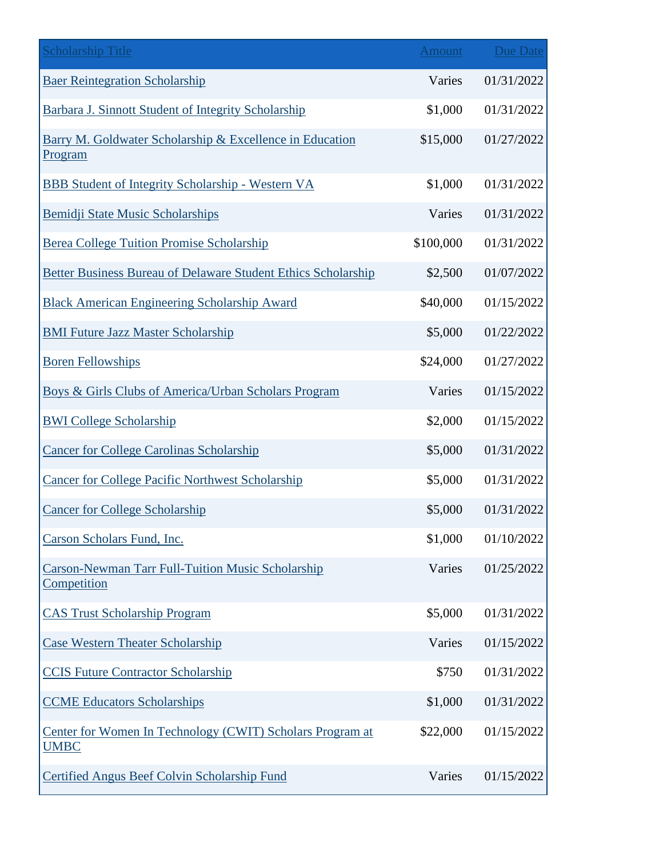| <b>Scholarship Title</b>                                                 | <b>Amount</b> | <b>Due Date</b> |
|--------------------------------------------------------------------------|---------------|-----------------|
| <b>Baer Reintegration Scholarship</b>                                    | Varies        | 01/31/2022      |
| Barbara J. Sinnott Student of Integrity Scholarship                      | \$1,000       | 01/31/2022      |
| Barry M. Goldwater Scholarship & Excellence in Education<br>Program      | \$15,000      | 01/27/2022      |
| <b>BBB Student of Integrity Scholarship - Western VA</b>                 | \$1,000       | 01/31/2022      |
| Bemidji State Music Scholarships                                         | Varies        | 01/31/2022      |
| <b>Berea College Tuition Promise Scholarship</b>                         | \$100,000     | 01/31/2022      |
| <b>Better Business Bureau of Delaware Student Ethics Scholarship</b>     | \$2,500       | 01/07/2022      |
| <b>Black American Engineering Scholarship Award</b>                      | \$40,000      | 01/15/2022      |
| <b>BMI Future Jazz Master Scholarship</b>                                | \$5,000       | 01/22/2022      |
| <b>Boren Fellowships</b>                                                 | \$24,000      | 01/27/2022      |
| Boys & Girls Clubs of America/Urban Scholars Program                     | Varies        | 01/15/2022      |
| <b>BWI College Scholarship</b>                                           | \$2,000       | 01/15/2022      |
| <b>Cancer for College Carolinas Scholarship</b>                          | \$5,000       | 01/31/2022      |
| <b>Cancer for College Pacific Northwest Scholarship</b>                  | \$5,000       | 01/31/2022      |
| <b>Cancer for College Scholarship</b>                                    | \$5,000       | 01/31/2022      |
| Carson Scholars Fund, Inc.                                               | \$1,000       | 01/10/2022      |
| <b>Carson-Newman Tarr Full-Tuition Music Scholarship</b><br>Competition  | Varies        | 01/25/2022      |
| <b>CAS Trust Scholarship Program</b>                                     | \$5,000       | 01/31/2022      |
| <b>Case Western Theater Scholarship</b>                                  | Varies        | 01/15/2022      |
| <b>CCIS Future Contractor Scholarship</b>                                | \$750         | 01/31/2022      |
| <b>CCME Educators Scholarships</b>                                       | \$1,000       | 01/31/2022      |
| Center for Women In Technology (CWIT) Scholars Program at<br><b>UMBC</b> | \$22,000      | 01/15/2022      |
| Certified Angus Beef Colvin Scholarship Fund                             | Varies        | 01/15/2022      |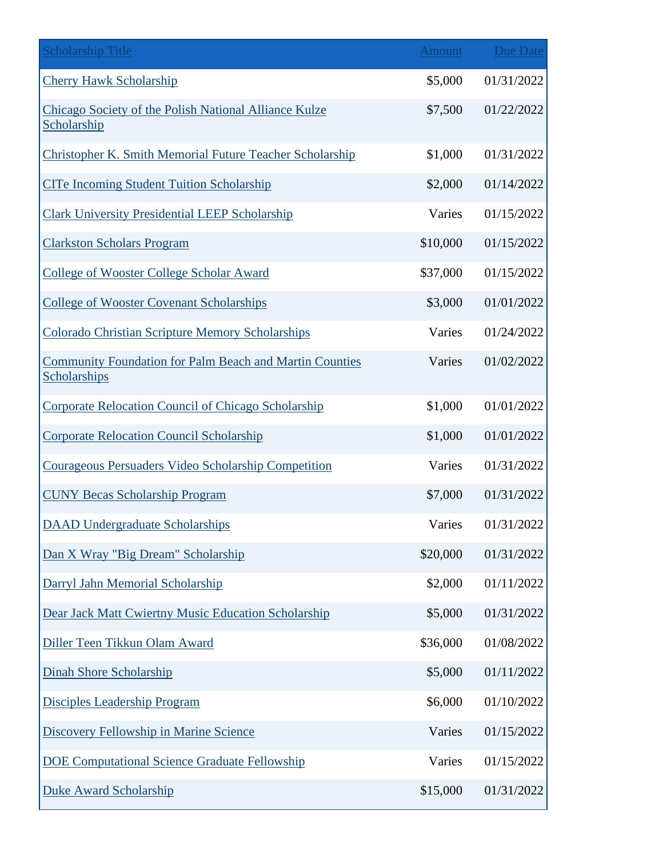| <b>Scholarship Title</b>                                                       | <b>Amount</b> | <b>Due Date</b> |
|--------------------------------------------------------------------------------|---------------|-----------------|
| <b>Cherry Hawk Scholarship</b>                                                 | \$5,000       | 01/31/2022      |
| Chicago Society of the Polish National Alliance Kulze<br>Scholarship           | \$7,500       | 01/22/2022      |
| Christopher K. Smith Memorial Future Teacher Scholarship                       | \$1,000       | 01/31/2022      |
| <b>CITe Incoming Student Tuition Scholarship</b>                               | \$2,000       | 01/14/2022      |
| <b>Clark University Presidential LEEP Scholarship</b>                          | Varies        | 01/15/2022      |
| <b>Clarkston Scholars Program</b>                                              | \$10,000      | 01/15/2022      |
| <b>College of Wooster College Scholar Award</b>                                | \$37,000      | 01/15/2022      |
| <b>College of Wooster Covenant Scholarships</b>                                | \$3,000       | 01/01/2022      |
| <b>Colorado Christian Scripture Memory Scholarships</b>                        | Varies        | 01/24/2022      |
| <b>Community Foundation for Palm Beach and Martin Counties</b><br>Scholarships | Varies        | 01/02/2022      |
| Corporate Relocation Council of Chicago Scholarship                            | \$1,000       | 01/01/2022      |
| <b>Corporate Relocation Council Scholarship</b>                                | \$1,000       | 01/01/2022      |
| Courageous Persuaders Video Scholarship Competition                            | Varies        | 01/31/2022      |
| <b>CUNY Becas Scholarship Program</b>                                          | \$7,000       | 01/31/2022      |
| <b>DAAD Undergraduate Scholarships</b>                                         | Varies        | 01/31/2022      |
| Dan X Wray "Big Dream" Scholarship                                             | \$20,000      | 01/31/2022      |
| Darryl Jahn Memorial Scholarship                                               | \$2,000       | 01/11/2022      |
| Dear Jack Matt Cwiertny Music Education Scholarship                            | \$5,000       | 01/31/2022      |
| Diller Teen Tikkun Olam Award                                                  | \$36,000      | 01/08/2022      |
| <b>Dinah Shore Scholarship</b>                                                 | \$5,000       | 01/11/2022      |
| <b>Disciples Leadership Program</b>                                            | \$6,000       | 01/10/2022      |
| <b>Discovery Fellowship in Marine Science</b>                                  | Varies        | 01/15/2022      |
| <b>DOE Computational Science Graduate Fellowship</b>                           | Varies        | 01/15/2022      |
| <b>Duke Award Scholarship</b>                                                  | \$15,000      | 01/31/2022      |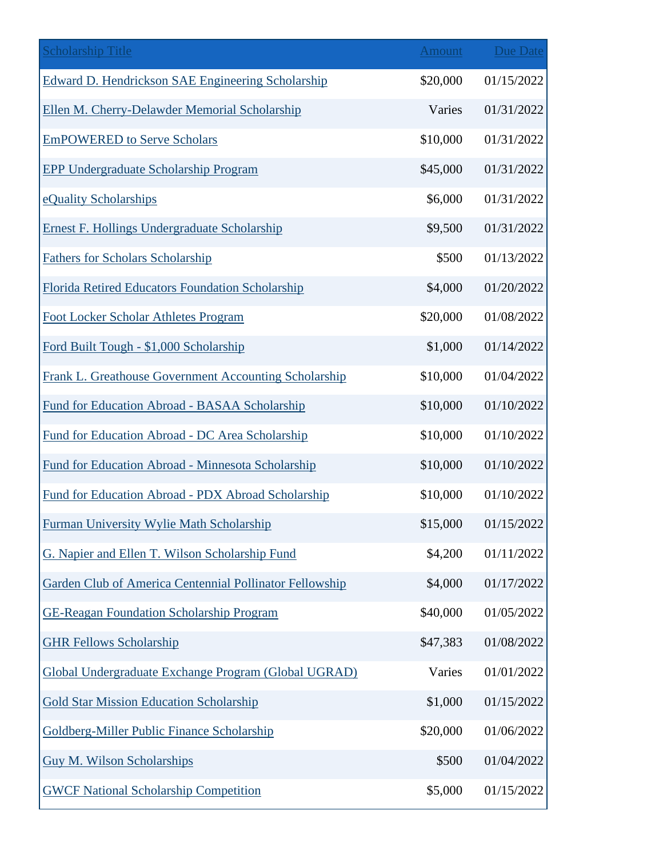| <b>Scholarship Title</b>                                     | Amount   | <b>Due Date</b> |
|--------------------------------------------------------------|----------|-----------------|
| <b>Edward D. Hendrickson SAE Engineering Scholarship</b>     | \$20,000 | 01/15/2022      |
| Ellen M. Cherry-Delawder Memorial Scholarship                | Varies   | 01/31/2022      |
| <b>EmPOWERED</b> to Serve Scholars                           | \$10,000 | 01/31/2022      |
| <b>EPP Undergraduate Scholarship Program</b>                 | \$45,000 | 01/31/2022      |
| eQuality Scholarships                                        | \$6,000  | 01/31/2022      |
| Ernest F. Hollings Undergraduate Scholarship                 | \$9,500  | 01/31/2022      |
| <b>Fathers for Scholars Scholarship</b>                      | \$500    | 01/13/2022      |
| Florida Retired Educators Foundation Scholarship             | \$4,000  | 01/20/2022      |
| <b>Foot Locker Scholar Athletes Program</b>                  | \$20,000 | 01/08/2022      |
| Ford Built Tough - \$1,000 Scholarship                       | \$1,000  | 01/14/2022      |
| <b>Frank L. Greathouse Government Accounting Scholarship</b> | \$10,000 | 01/04/2022      |
| Fund for Education Abroad - BASAA Scholarship                | \$10,000 | 01/10/2022      |
| Fund for Education Abroad - DC Area Scholarship              | \$10,000 | 01/10/2022      |
| Fund for Education Abroad - Minnesota Scholarship            | \$10,000 | 01/10/2022      |
| Fund for Education Abroad - PDX Abroad Scholarship           | \$10,000 | 01/10/2022      |
| <b>Furman University Wylie Math Scholarship</b>              | \$15,000 | 01/15/2022      |
| G. Napier and Ellen T. Wilson Scholarship Fund               | \$4,200  | 01/11/2022      |
| Garden Club of America Centennial Pollinator Fellowship      | \$4,000  | 01/17/2022      |
| <b>GE-Reagan Foundation Scholarship Program</b>              | \$40,000 | 01/05/2022      |
| <b>GHR Fellows Scholarship</b>                               | \$47,383 | 01/08/2022      |
| Global Undergraduate Exchange Program (Global UGRAD)         | Varies   | 01/01/2022      |
| <b>Gold Star Mission Education Scholarship</b>               | \$1,000  | 01/15/2022      |
| Goldberg-Miller Public Finance Scholarship                   | \$20,000 | 01/06/2022      |
| Guy M. Wilson Scholarships                                   | \$500    | 01/04/2022      |
| <b>GWCF National Scholarship Competition</b>                 | \$5,000  | 01/15/2022      |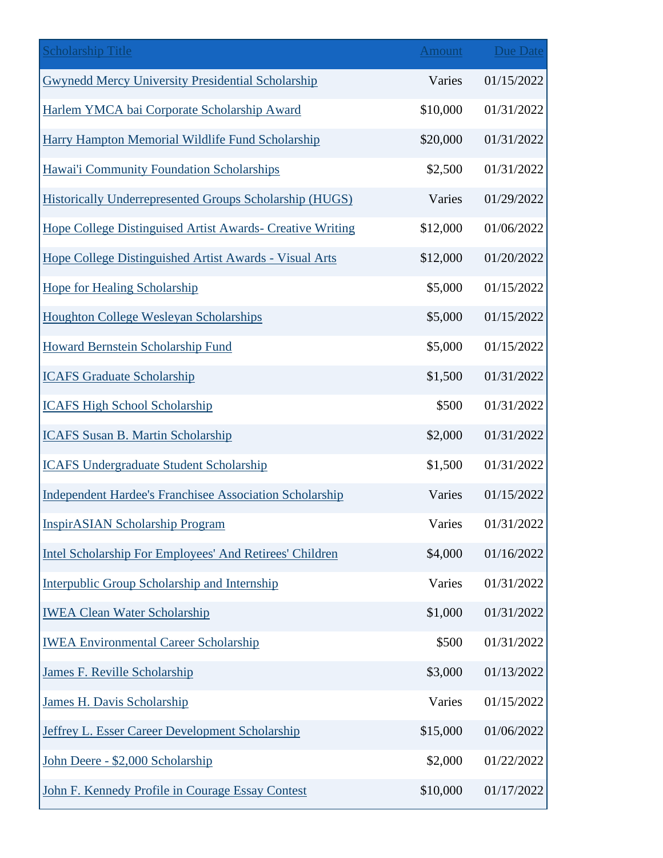| <b>Scholarship Title</b>                                       | <b>Amount</b> | <b>Due Date</b> |
|----------------------------------------------------------------|---------------|-----------------|
| <b>Gwynedd Mercy University Presidential Scholarship</b>       | Varies        | 01/15/2022      |
| Harlem YMCA bai Corporate Scholarship Award                    | \$10,000      | 01/31/2022      |
| Harry Hampton Memorial Wildlife Fund Scholarship               | \$20,000      | 01/31/2022      |
| Hawai'i Community Foundation Scholarships                      | \$2,500       | 01/31/2022      |
| <b>Historically Underrepresented Groups Scholarship (HUGS)</b> | Varies        | 01/29/2022      |
| Hope College Distinguised Artist Awards- Creative Writing      | \$12,000      | 01/06/2022      |
| Hope College Distinguished Artist Awards - Visual Arts         | \$12,000      | 01/20/2022      |
| <b>Hope for Healing Scholarship</b>                            | \$5,000       | 01/15/2022      |
| <b>Houghton College Wesleyan Scholarships</b>                  | \$5,000       | 01/15/2022      |
| Howard Bernstein Scholarship Fund                              | \$5,000       | 01/15/2022      |
| <b>ICAFS Graduate Scholarship</b>                              | \$1,500       | 01/31/2022      |
| <b>ICAFS High School Scholarship</b>                           | \$500         | 01/31/2022      |
| <b>ICAFS Susan B. Martin Scholarship</b>                       | \$2,000       | 01/31/2022      |
| <b>ICAFS Undergraduate Student Scholarship</b>                 | \$1,500       | 01/31/2022      |
| <b>Independent Hardee's Franchisee Association Scholarship</b> | Varies        | 01/15/2022      |
| <b>InspirASIAN Scholarship Program</b>                         | Varies        | 01/31/2022      |
| Intel Scholarship For Employees' And Retirees' Children        | \$4,000       | 01/16/2022      |
| Interpublic Group Scholarship and Internship                   | Varies        | 01/31/2022      |
| <b>IWEA Clean Water Scholarship</b>                            | \$1,000       | 01/31/2022      |
| <b>IWEA Environmental Career Scholarship</b>                   | \$500         | 01/31/2022      |
| James F. Reville Scholarship                                   | \$3,000       | 01/13/2022      |
| James H. Davis Scholarship                                     | Varies        | 01/15/2022      |
| <b>Jeffrey L. Esser Career Development Scholarship</b>         | \$15,000      | 01/06/2022      |
| John Deere - \$2,000 Scholarship                               | \$2,000       | 01/22/2022      |
| John F. Kennedy Profile in Courage Essay Contest               | \$10,000      | 01/17/2022      |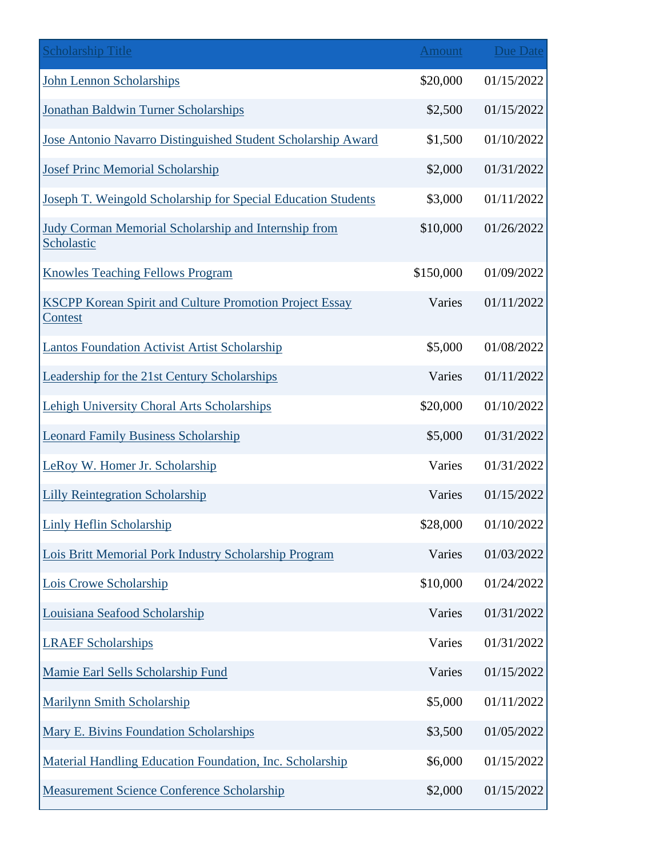| <b>Scholarship Title</b>                                                         | Amount    | <b>Due Date</b> |
|----------------------------------------------------------------------------------|-----------|-----------------|
| <b>John Lennon Scholarships</b>                                                  | \$20,000  | 01/15/2022      |
| Jonathan Baldwin Turner Scholarships                                             | \$2,500   | 01/15/2022      |
| Jose Antonio Navarro Distinguished Student Scholarship Award                     | \$1,500   | 01/10/2022      |
| <b>Josef Princ Memorial Scholarship</b>                                          | \$2,000   | 01/31/2022      |
| Joseph T. Weingold Scholarship for Special Education Students                    | \$3,000   | 01/11/2022      |
| <b>Judy Corman Memorial Scholarship and Internship from</b><br>Scholastic        | \$10,000  | 01/26/2022      |
| <b>Knowles Teaching Fellows Program</b>                                          | \$150,000 | 01/09/2022      |
| <b>KSCPP Korean Spirit and Culture Promotion Project Essay</b><br><u>Contest</u> | Varies    | 01/11/2022      |
| <b>Lantos Foundation Activist Artist Scholarship</b>                             | \$5,000   | 01/08/2022      |
| Leadership for the 21st Century Scholarships                                     | Varies    | 01/11/2022      |
| <b>Lehigh University Choral Arts Scholarships</b>                                | \$20,000  | 01/10/2022      |
| <b>Leonard Family Business Scholarship</b>                                       | \$5,000   | 01/31/2022      |
| LeRoy W. Homer Jr. Scholarship                                                   | Varies    | 01/31/2022      |
| <b>Lilly Reintegration Scholarship</b>                                           | Varies    | 01/15/2022      |
| <b>Linly Heflin Scholarship</b>                                                  | \$28,000  | 01/10/2022      |
| Lois Britt Memorial Pork Industry Scholarship Program                            | Varies    | 01/03/2022      |
| Lois Crowe Scholarship                                                           | \$10,000  | 01/24/2022      |
| Louisiana Seafood Scholarship                                                    | Varies    | 01/31/2022      |
| <b>LRAEF Scholarships</b>                                                        | Varies    | 01/31/2022      |
| Mamie Earl Sells Scholarship Fund                                                | Varies    | 01/15/2022      |
| <b>Marilynn Smith Scholarship</b>                                                | \$5,000   | 01/11/2022      |
| Mary E. Bivins Foundation Scholarships                                           | \$3,500   | 01/05/2022      |
| Material Handling Education Foundation, Inc. Scholarship                         | \$6,000   | 01/15/2022      |
| <b>Measurement Science Conference Scholarship</b>                                | \$2,000   | 01/15/2022      |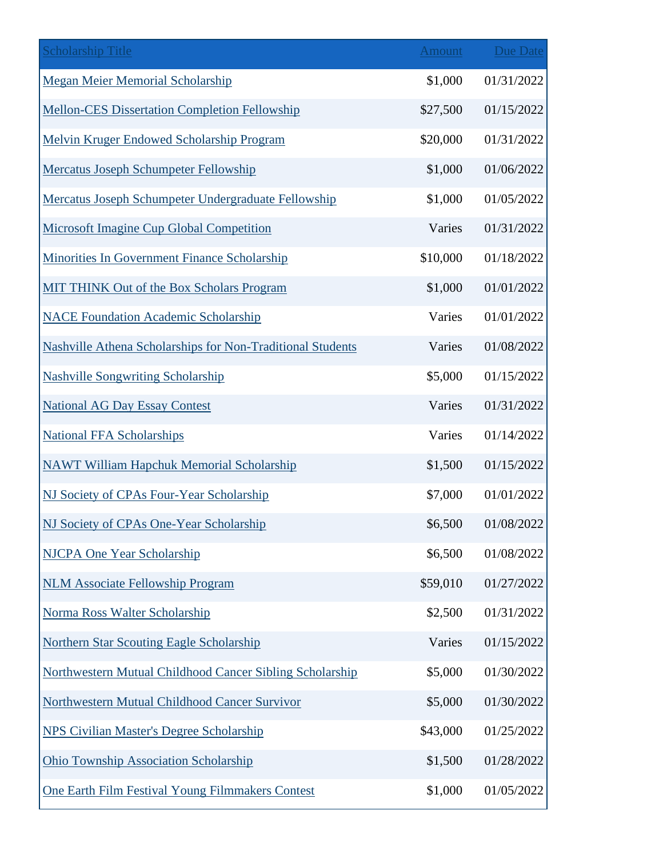| <b>Scholarship Title</b>                                          | <b>Amount</b> | <b>Due Date</b> |
|-------------------------------------------------------------------|---------------|-----------------|
| <b>Megan Meier Memorial Scholarship</b>                           | \$1,000       | 01/31/2022      |
| <b>Mellon-CES Dissertation Completion Fellowship</b>              | \$27,500      | 01/15/2022      |
| Melvin Kruger Endowed Scholarship Program                         | \$20,000      | 01/31/2022      |
| <b>Mercatus Joseph Schumpeter Fellowship</b>                      | \$1,000       | 01/06/2022      |
| Mercatus Joseph Schumpeter Undergraduate Fellowship               | \$1,000       | 01/05/2022      |
| <b>Microsoft Imagine Cup Global Competition</b>                   | Varies        | 01/31/2022      |
| Minorities In Government Finance Scholarship                      | \$10,000      | 01/18/2022      |
| MIT THINK Out of the Box Scholars Program                         | \$1,000       | 01/01/2022      |
| <b>NACE Foundation Academic Scholarship</b>                       | Varies        | 01/01/2022      |
| <b>Nashville Athena Scholarships for Non-Traditional Students</b> | Varies        | 01/08/2022      |
| <b>Nashville Songwriting Scholarship</b>                          | \$5,000       | 01/15/2022      |
| <b>National AG Day Essay Contest</b>                              | Varies        | 01/31/2022      |
| <b>National FFA Scholarships</b>                                  | Varies        | 01/14/2022      |
| <b>NAWT William Hapchuk Memorial Scholarship</b>                  | \$1,500       | 01/15/2022      |
| NJ Society of CPAs Four-Year Scholarship                          | \$7,000       | 01/01/2022      |
| <b>NJ Society of CPAs One-Year Scholarship</b>                    | \$6,500       | 01/08/2022      |
| <b>NJCPA One Year Scholarship</b>                                 | \$6,500       | 01/08/2022      |
| <b>NLM Associate Fellowship Program</b>                           | \$59,010      | 01/27/2022      |
| Norma Ross Walter Scholarship                                     | \$2,500       | 01/31/2022      |
| <b>Northern Star Scouting Eagle Scholarship</b>                   | Varies        | 01/15/2022      |
| Northwestern Mutual Childhood Cancer Sibling Scholarship          | \$5,000       | 01/30/2022      |
| Northwestern Mutual Childhood Cancer Survivor                     | \$5,000       | 01/30/2022      |
| <b>NPS Civilian Master's Degree Scholarship</b>                   | \$43,000      | 01/25/2022      |
| <b>Ohio Township Association Scholarship</b>                      | \$1,500       | 01/28/2022      |
| One Earth Film Festival Young Filmmakers Contest                  | \$1,000       | 01/05/2022      |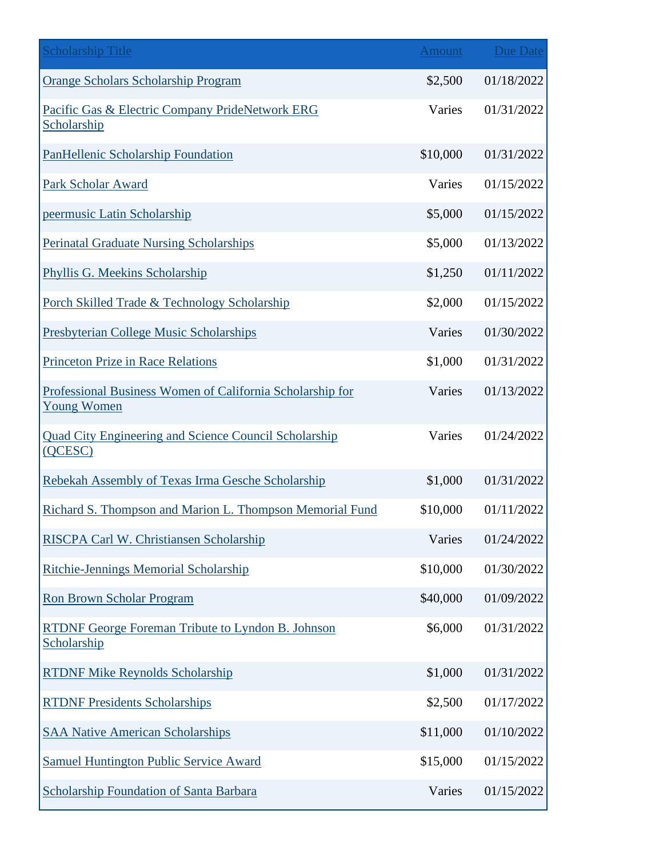| <b>Scholarship Title</b>                                                        | Amount   | Due Date   |
|---------------------------------------------------------------------------------|----------|------------|
| <b>Orange Scholars Scholarship Program</b>                                      | \$2,500  | 01/18/2022 |
| Pacific Gas & Electric Company PrideNetwork ERG<br>Scholarship                  | Varies   | 01/31/2022 |
| <b>PanHellenic Scholarship Foundation</b>                                       | \$10,000 | 01/31/2022 |
| <b>Park Scholar Award</b>                                                       | Varies   | 01/15/2022 |
| peermusic Latin Scholarship                                                     | \$5,000  | 01/15/2022 |
| <b>Perinatal Graduate Nursing Scholarships</b>                                  | \$5,000  | 01/13/2022 |
| Phyllis G. Meekins Scholarship                                                  | \$1,250  | 01/11/2022 |
| Porch Skilled Trade & Technology Scholarship                                    | \$2,000  | 01/15/2022 |
| <b>Presbyterian College Music Scholarships</b>                                  | Varies   | 01/30/2022 |
| <b>Princeton Prize in Race Relations</b>                                        | \$1,000  | 01/31/2022 |
| Professional Business Women of California Scholarship for<br><b>Young Women</b> | Varies   | 01/13/2022 |
| <b>Quad City Engineering and Science Council Scholarship</b><br>(QCESC)         | Varies   | 01/24/2022 |
| Rebekah Assembly of Texas Irma Gesche Scholarship                               | \$1,000  | 01/31/2022 |
| Richard S. Thompson and Marion L. Thompson Memorial Fund                        | \$10,000 | 01/11/2022 |
| RISCPA Carl W. Christiansen Scholarship                                         | Varies   | 01/24/2022 |
| <b>Ritchie-Jennings Memorial Scholarship</b>                                    | \$10,000 | 01/30/2022 |
| <b>Ron Brown Scholar Program</b>                                                | \$40,000 | 01/09/2022 |
| RTDNF George Foreman Tribute to Lyndon B. Johnson<br>Scholarship                | \$6,000  | 01/31/2022 |
| <b>RTDNF Mike Reynolds Scholarship</b>                                          | \$1,000  | 01/31/2022 |
| <b>RTDNF Presidents Scholarships</b>                                            | \$2,500  | 01/17/2022 |
| <b>SAA Native American Scholarships</b>                                         | \$11,000 | 01/10/2022 |
| <b>Samuel Huntington Public Service Award</b>                                   | \$15,000 | 01/15/2022 |
| <b>Scholarship Foundation of Santa Barbara</b>                                  | Varies   | 01/15/2022 |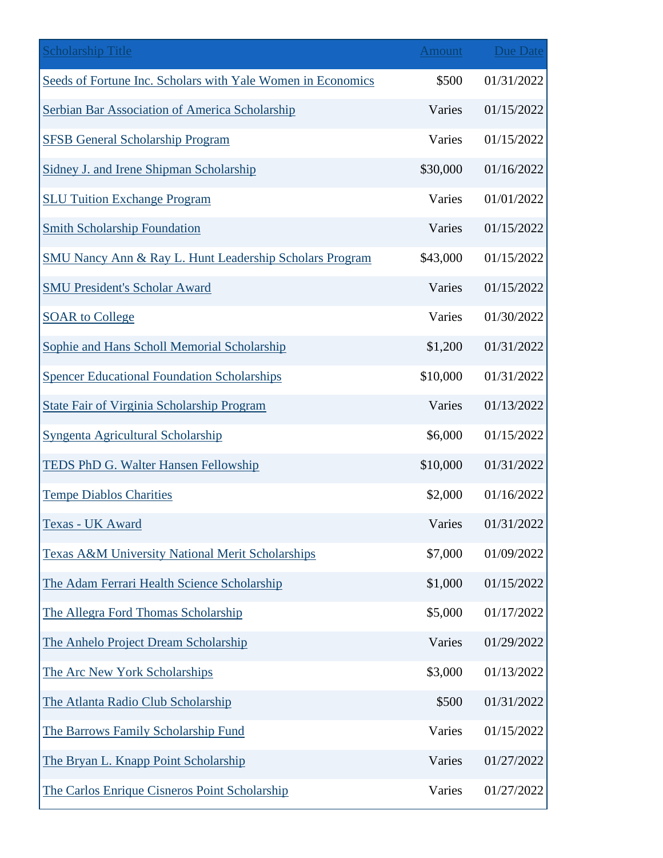| <b>Scholarship Title</b>                                    | <b>Amount</b> | <b>Due Date</b> |
|-------------------------------------------------------------|---------------|-----------------|
| Seeds of Fortune Inc. Scholars with Yale Women in Economics | \$500         | 01/31/2022      |
| Serbian Bar Association of America Scholarship              | Varies        | 01/15/2022      |
| <b>SFSB General Scholarship Program</b>                     | Varies        | 01/15/2022      |
| Sidney J. and Irene Shipman Scholarship                     | \$30,000      | 01/16/2022      |
| <b>SLU Tuition Exchange Program</b>                         | Varies        | 01/01/2022      |
| <b>Smith Scholarship Foundation</b>                         | Varies        | 01/15/2022      |
| SMU Nancy Ann & Ray L. Hunt Leadership Scholars Program     | \$43,000      | 01/15/2022      |
| <b>SMU President's Scholar Award</b>                        | Varies        | 01/15/2022      |
| <b>SOAR to College</b>                                      | Varies        | 01/30/2022      |
| <b>Sophie and Hans Scholl Memorial Scholarship</b>          | \$1,200       | 01/31/2022      |
| <b>Spencer Educational Foundation Scholarships</b>          | \$10,000      | 01/31/2022      |
| <b>State Fair of Virginia Scholarship Program</b>           | Varies        | 01/13/2022      |
| Syngenta Agricultural Scholarship                           | \$6,000       | 01/15/2022      |
| <b>TEDS PhD G. Walter Hansen Fellowship</b>                 | \$10,000      | 01/31/2022      |
| <b>Tempe Diablos Charities</b>                              | \$2,000       | 01/16/2022      |
| Texas - UK Award                                            | Varies        | 01/31/2022      |
| <b>Texas A&amp;M University National Merit Scholarships</b> | \$7,000       | 01/09/2022      |
| The Adam Ferrari Health Science Scholarship                 | \$1,000       | 01/15/2022      |
| The Allegra Ford Thomas Scholarship                         | \$5,000       | 01/17/2022      |
| The Anhelo Project Dream Scholarship                        | Varies        | 01/29/2022      |
| The Arc New York Scholarships                               | \$3,000       | 01/13/2022      |
| The Atlanta Radio Club Scholarship                          | \$500         | 01/31/2022      |
| The Barrows Family Scholarship Fund                         | Varies        | 01/15/2022      |
| The Bryan L. Knapp Point Scholarship                        | Varies        | 01/27/2022      |
| The Carlos Enrique Cisneros Point Scholarship               | Varies        | 01/27/2022      |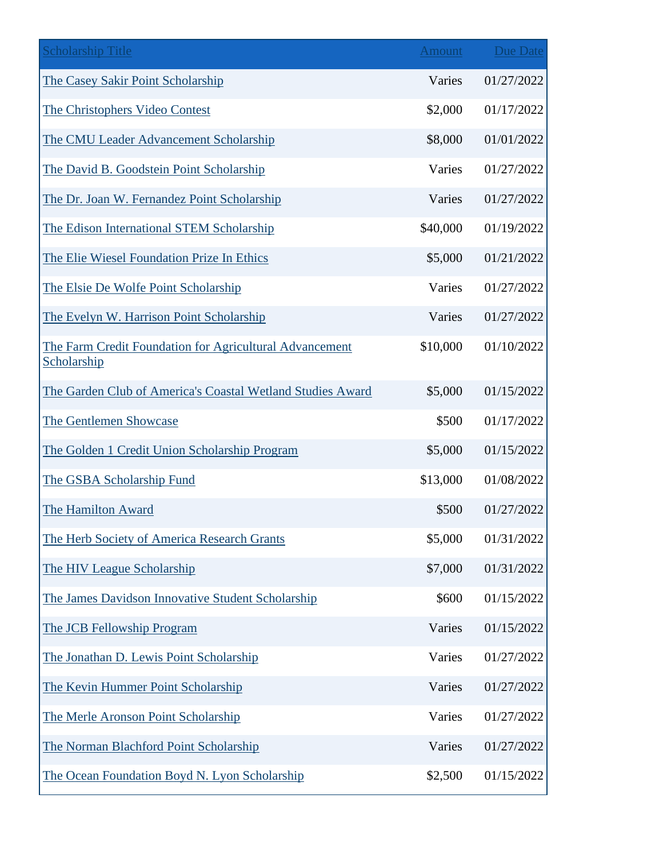| <b>Scholarship Title</b>                                               | <b>Amount</b> | <b>Due Date</b> |
|------------------------------------------------------------------------|---------------|-----------------|
| The Casey Sakir Point Scholarship                                      | Varies        | 01/27/2022      |
| The Christophers Video Contest                                         | \$2,000       | 01/17/2022      |
| The CMU Leader Advancement Scholarship                                 | \$8,000       | 01/01/2022      |
| The David B. Goodstein Point Scholarship                               | Varies        | 01/27/2022      |
| The Dr. Joan W. Fernandez Point Scholarship                            | Varies        | 01/27/2022      |
| The Edison International STEM Scholarship                              | \$40,000      | 01/19/2022      |
| The Elie Wiesel Foundation Prize In Ethics                             | \$5,000       | 01/21/2022      |
| The Elsie De Wolfe Point Scholarship                                   | Varies        | 01/27/2022      |
| The Evelyn W. Harrison Point Scholarship                               | Varies        | 01/27/2022      |
| The Farm Credit Foundation for Agricultural Advancement<br>Scholarship | \$10,000      | 01/10/2022      |
| The Garden Club of America's Coastal Wetland Studies Award             | \$5,000       | 01/15/2022      |
| The Gentlemen Showcase                                                 | \$500         | 01/17/2022      |
| The Golden 1 Credit Union Scholarship Program                          | \$5,000       | 01/15/2022      |
| The GSBA Scholarship Fund                                              | \$13,000      | 01/08/2022      |
| The Hamilton Award                                                     | \$500         | 01/27/2022      |
| The Herb Society of America Research Grants                            | \$5,000       | 01/31/2022      |
| The HIV League Scholarship                                             | \$7,000       | 01/31/2022      |
| The James Davidson Innovative Student Scholarship                      | \$600         | 01/15/2022      |
| The JCB Fellowship Program                                             | Varies        | 01/15/2022      |
| The Jonathan D. Lewis Point Scholarship                                | Varies        | 01/27/2022      |
| The Kevin Hummer Point Scholarship                                     | Varies        | 01/27/2022      |
| The Merle Aronson Point Scholarship                                    | Varies        | 01/27/2022      |
| The Norman Blachford Point Scholarship                                 | Varies        | 01/27/2022      |
| The Ocean Foundation Boyd N. Lyon Scholarship                          | \$2,500       | 01/15/2022      |